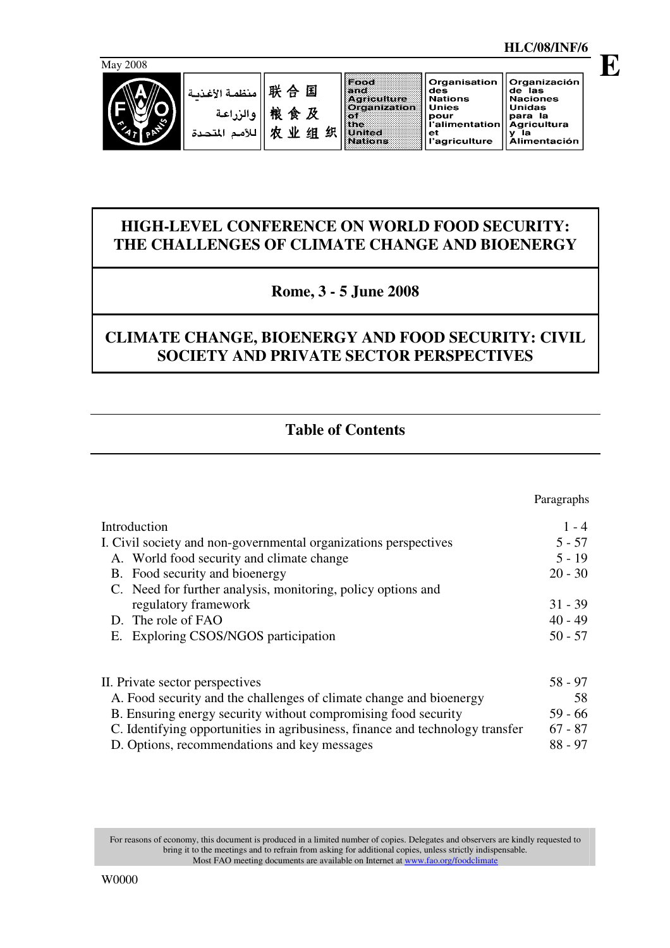

| منظمة الأغذسا | 联合国  | ođ<br>riculture            |
|---------------|------|----------------------------|
| ا والزراعة    | 粮食及  | rganizatioi                |
| تحدة          | 农业组织 | <b><i><u>Alfed</u></i></b> |

| Food               | Organis        |
|--------------------|----------------|
| and                | des            |
| <b>Agriculture</b> | <b>Nations</b> |
| Organization       | <b>Unies</b>   |
| o1.                | pour           |
| the                | l'alimen       |
| United             | et             |
| Nations            | l'agricul      |

ganisation Organización de las<br>Naciones<br>Unidas ...<br>.ur<br>limentation para la<br>Agricultura<br>y la Agricultura<br>y la<br>Alimentación griculture

# **HIGH-LEVEL CONFERENCE ON WORLD FOOD SECURITY: THE CHALLENGES OF CLIMATE CHANGE AND BIOENERGY**

# **Rome, 3 - 5 June 2008**

# **CLIMATE CHANGE, BIOENERGY AND FOOD SECURITY: CIVIL SOCIETY AND PRIVATE SECTOR PERSPECTIVES**

# **Table of Contents**

|                                                                               | Paragraphs |
|-------------------------------------------------------------------------------|------------|
| Introduction                                                                  | $1 - 4$    |
| I. Civil society and non-governmental organizations perspectives              | $5 - 57$   |
| A. World food security and climate change                                     | $5 - 19$   |
| B. Food security and bioenergy                                                | $20 - 30$  |
| C. Need for further analysis, monitoring, policy options and                  |            |
| regulatory framework                                                          | $31 - 39$  |
| D. The role of FAO                                                            | $40 - 49$  |
| E. Exploring CSOS/NGOS participation                                          | $50 - 57$  |
|                                                                               |            |
| II. Private sector perspectives                                               | $58 - 97$  |
| A. Food security and the challenges of climate change and bioenergy           | 58         |
| B. Ensuring energy security without compromising food security                | $59 - 66$  |
| C. Identifying opportunities in agribusiness, finance and technology transfer | $67 - 87$  |
| D. Options, recommendations and key messages                                  | $88 - 97$  |

For reasons of economy, this document is produced in a limited number of copies. Delegates and observers are kindly requested to bring it to the meetings and to refrain from asking for additional copies, unless strictly indispensable. Most FAO meeting documents are available on Internet at www.fao.org/foodclimate

**E**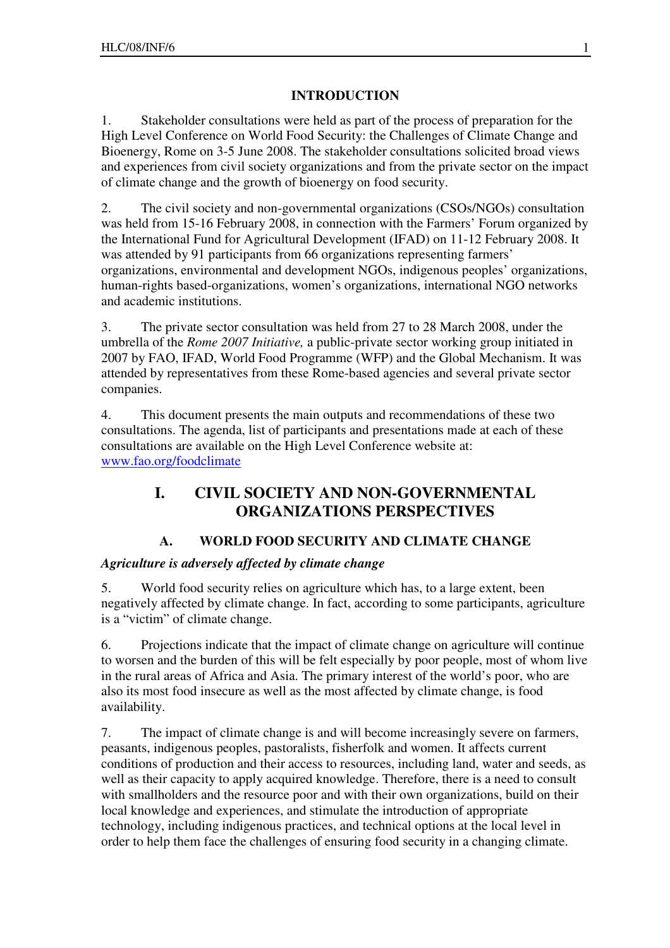## **INTRODUCTION**

1. Stakeholder consultations were held as part of the process of preparation for the High Level Conference on World Food Security: the Challenges of Climate Change and Bioenergy, Rome on 3-5 June 2008. The stakeholder consultations solicited broad views and experiences from civil society organizations and from the private sector on the impact of climate change and the growth of bioenergy on food security.

2. The civil society and non-governmental organizations (CSOs/NGOs) consultation was held from 15-16 February 2008, in connection with the Farmers' Forum organized by the International Fund for Agricultural Development (IFAD) on 11-12 February 2008. It was attended by 91 participants from 66 organizations representing farmers' organizations, environmental and development NGOs, indigenous peoples' organizations, human-rights based-organizations, women's organizations, international NGO networks and academic institutions.

3. The private sector consultation was held from 27 to 28 March 2008, under the umbrella of the *Rome 2007 Initiative,* a public-private sector working group initiated in 2007 by FAO, IFAD, World Food Programme (WFP) and the Global Mechanism. It was attended by representatives from these Rome-based agencies and several private sector companies.

4. This document presents the main outputs and recommendations of these two consultations. The agenda, list of participants and presentations made at each of these consultations are available on the High Level Conference website at: www.fao.org/foodclimate

# **I. CIVIL SOCIETY AND NON-GOVERNMENTAL ORGANIZATIONS PERSPECTIVES**

# **A. WORLD FOOD SECURITY AND CLIMATE CHANGE**

## *Agriculture is adversely affected by climate change*

5. World food security relies on agriculture which has, to a large extent, been negatively affected by climate change. In fact, according to some participants, agriculture is a "victim" of climate change.

6. Projections indicate that the impact of climate change on agriculture will continue to worsen and the burden of this will be felt especially by poor people, most of whom live in the rural areas of Africa and Asia. The primary interest of the world's poor, who are also its most food insecure as well as the most affected by climate change, is food availability.

7. The impact of climate change is and will become increasingly severe on farmers, peasants, indigenous peoples, pastoralists, fisherfolk and women. It affects current conditions of production and their access to resources, including land, water and seeds, as well as their capacity to apply acquired knowledge. Therefore, there is a need to consult with smallholders and the resource poor and with their own organizations, build on their local knowledge and experiences, and stimulate the introduction of appropriate technology, including indigenous practices, and technical options at the local level in order to help them face the challenges of ensuring food security in a changing climate.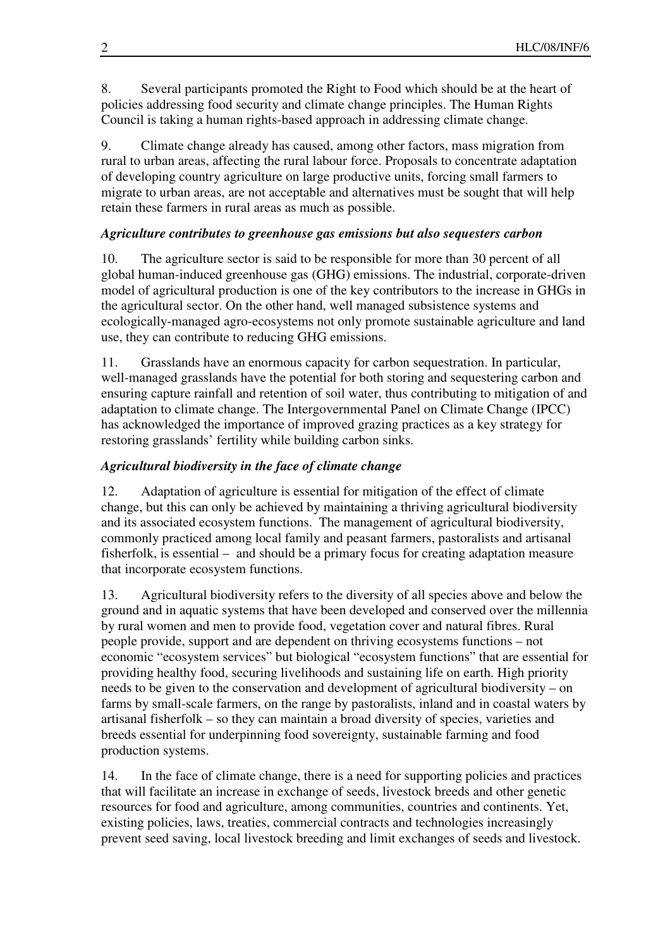8. Several participants promoted the Right to Food which should be at the heart of policies addressing food security and climate change principles. The Human Rights Council is taking a human rights-based approach in addressing climate change.

9. Climate change already has caused, among other factors, mass migration from rural to urban areas, affecting the rural labour force. Proposals to concentrate adaptation of developing country agriculture on large productive units, forcing small farmers to migrate to urban areas, are not acceptable and alternatives must be sought that will help retain these farmers in rural areas as much as possible.

## *Agriculture contributes to greenhouse gas emissions but also sequesters carbon*

10. The agriculture sector is said to be responsible for more than 30 percent of all global human-induced greenhouse gas (GHG) emissions. The industrial, corporate-driven model of agricultural production is one of the key contributors to the increase in GHGs in the agricultural sector. On the other hand, well managed subsistence systems and ecologically-managed agro-ecosystems not only promote sustainable agriculture and land use, they can contribute to reducing GHG emissions.

11. Grasslands have an enormous capacity for carbon sequestration. In particular, well-managed grasslands have the potential for both storing and sequestering carbon and ensuring capture rainfall and retention of soil water, thus contributing to mitigation of and adaptation to climate change. The Intergovernmental Panel on Climate Change (IPCC) has acknowledged the importance of improved grazing practices as a key strategy for restoring grasslands' fertility while building carbon sinks.

## *Agricultural biodiversity in the face of climate change*

12. Adaptation of agriculture is essential for mitigation of the effect of climate change, but this can only be achieved by maintaining a thriving agricultural biodiversity and its associated ecosystem functions. The management of agricultural biodiversity, commonly practiced among local family and peasant farmers, pastoralists and artisanal fisherfolk, is essential – and should be a primary focus for creating adaptation measure that incorporate ecosystem functions.

13. Agricultural biodiversity refers to the diversity of all species above and below the ground and in aquatic systems that have been developed and conserved over the millennia by rural women and men to provide food, vegetation cover and natural fibres. Rural people provide, support and are dependent on thriving ecosystems functions – not economic "ecosystem services" but biological "ecosystem functions" that are essential for providing healthy food, securing livelihoods and sustaining life on earth. High priority needs to be given to the conservation and development of agricultural biodiversity – on farms by small-scale farmers, on the range by pastoralists, inland and in coastal waters by artisanal fisherfolk – so they can maintain a broad diversity of species, varieties and breeds essential for underpinning food sovereignty, sustainable farming and food production systems.

14. In the face of climate change, there is a need for supporting policies and practices that will facilitate an increase in exchange of seeds, livestock breeds and other genetic resources for food and agriculture, among communities, countries and continents. Yet, existing policies, laws, treaties, commercial contracts and technologies increasingly prevent seed saving, local livestock breeding and limit exchanges of seeds and livestock.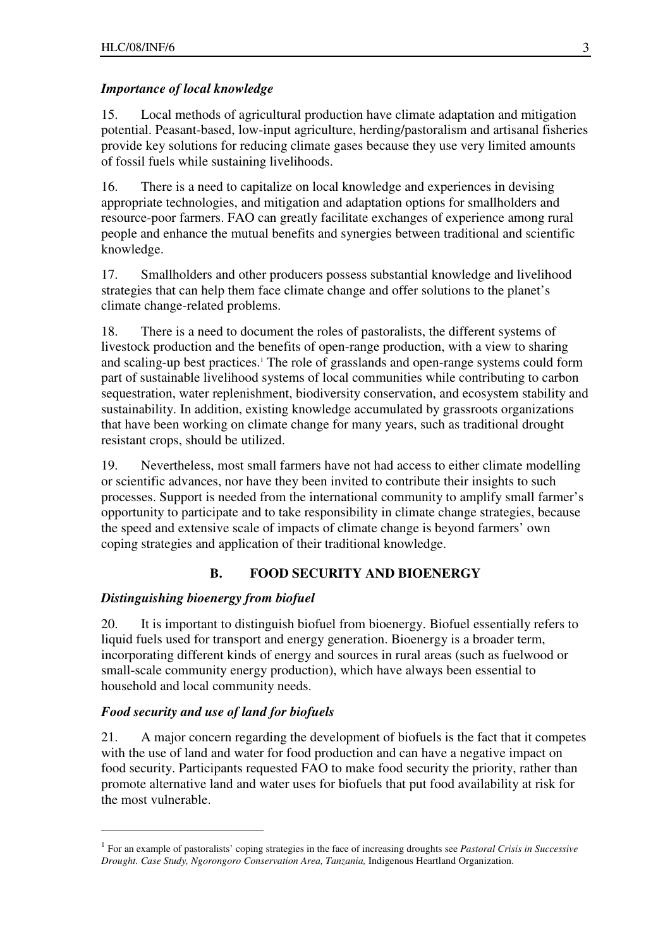#### *Importance of local knowledge*

15. Local methods of agricultural production have climate adaptation and mitigation potential. Peasant-based, low-input agriculture, herding/pastoralism and artisanal fisheries provide key solutions for reducing climate gases because they use very limited amounts of fossil fuels while sustaining livelihoods.

16. There is a need to capitalize on local knowledge and experiences in devising appropriate technologies, and mitigation and adaptation options for smallholders and resource-poor farmers. FAO can greatly facilitate exchanges of experience among rural people and enhance the mutual benefits and synergies between traditional and scientific knowledge.

17. Smallholders and other producers possess substantial knowledge and livelihood strategies that can help them face climate change and offer solutions to the planet's climate change-related problems.

18. There is a need to document the roles of pastoralists, the different systems of livestock production and the benefits of open-range production, with a view to sharing and scaling-up best practices.<sup>1</sup> The role of grasslands and open-range systems could form part of sustainable livelihood systems of local communities while contributing to carbon sequestration, water replenishment, biodiversity conservation, and ecosystem stability and sustainability. In addition, existing knowledge accumulated by grassroots organizations that have been working on climate change for many years, such as traditional drought resistant crops, should be utilized.

19. Nevertheless, most small farmers have not had access to either climate modelling or scientific advances, nor have they been invited to contribute their insights to such processes. Support is needed from the international community to amplify small farmer's opportunity to participate and to take responsibility in climate change strategies, because the speed and extensive scale of impacts of climate change is beyond farmers' own coping strategies and application of their traditional knowledge.

### **B. FOOD SECURITY AND BIOENERGY**

#### *Distinguishing bioenergy from biofuel*

20. It is important to distinguish biofuel from bioenergy. Biofuel essentially refers to liquid fuels used for transport and energy generation. Bioenergy is a broader term, incorporating different kinds of energy and sources in rural areas (such as fuelwood or small-scale community energy production), which have always been essential to household and local community needs.

#### *Food security and use of land for biofuels*

 $\overline{a}$ 

21. A major concern regarding the development of biofuels is the fact that it competes with the use of land and water for food production and can have a negative impact on food security. Participants requested FAO to make food security the priority, rather than promote alternative land and water uses for biofuels that put food availability at risk for the most vulnerable.

<sup>1</sup> For an example of pastoralists' coping strategies in the face of increasing droughts see *Pastoral Crisis in Successive Drought. Case Study, Ngorongoro Conservation Area, Tanzania,* Indigenous Heartland Organization.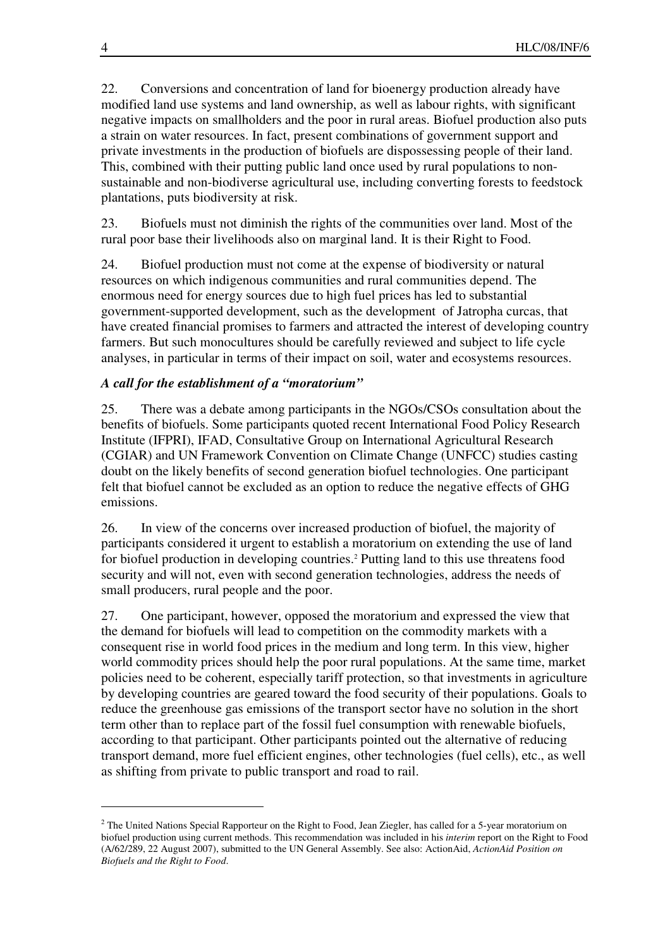22. Conversions and concentration of land for bioenergy production already have modified land use systems and land ownership, as well as labour rights, with significant negative impacts on smallholders and the poor in rural areas. Biofuel production also puts a strain on water resources. In fact, present combinations of government support and private investments in the production of biofuels are dispossessing people of their land. This, combined with their putting public land once used by rural populations to nonsustainable and non-biodiverse agricultural use, including converting forests to feedstock plantations, puts biodiversity at risk.

23. Biofuels must not diminish the rights of the communities over land. Most of the rural poor base their livelihoods also on marginal land. It is their Right to Food.

24. Biofuel production must not come at the expense of biodiversity or natural resources on which indigenous communities and rural communities depend. The enormous need for energy sources due to high fuel prices has led to substantial government-supported development, such as the development of Jatropha curcas, that have created financial promises to farmers and attracted the interest of developing country farmers. But such monocultures should be carefully reviewed and subject to life cycle analyses, in particular in terms of their impact on soil, water and ecosystems resources.

### *A call for the establishment of a "moratorium"*

25. There was a debate among participants in the NGOs/CSOs consultation about the benefits of biofuels. Some participants quoted recent International Food Policy Research Institute (IFPRI), IFAD, Consultative Group on International Agricultural Research (CGIAR) and UN Framework Convention on Climate Change (UNFCC) studies casting doubt on the likely benefits of second generation biofuel technologies. One participant felt that biofuel cannot be excluded as an option to reduce the negative effects of GHG emissions.

26. In view of the concerns over increased production of biofuel, the majority of participants considered it urgent to establish a moratorium on extending the use of land for biofuel production in developing countries.<sup>2</sup> Putting land to this use threatens food security and will not, even with second generation technologies, address the needs of small producers, rural people and the poor.

27. One participant, however, opposed the moratorium and expressed the view that the demand for biofuels will lead to competition on the commodity markets with a consequent rise in world food prices in the medium and long term. In this view, higher world commodity prices should help the poor rural populations. At the same time, market policies need to be coherent, especially tariff protection, so that investments in agriculture by developing countries are geared toward the food security of their populations. Goals to reduce the greenhouse gas emissions of the transport sector have no solution in the short term other than to replace part of the fossil fuel consumption with renewable biofuels, according to that participant. Other participants pointed out the alternative of reducing transport demand, more fuel efficient engines, other technologies (fuel cells), etc., as well as shifting from private to public transport and road to rail.

 $2$  The United Nations Special Rapporteur on the Right to Food, Jean Ziegler, has called for a 5-year moratorium on biofuel production using current methods. This recommendation was included in his *interim* report on the Right to Food (A/62/289, 22 August 2007), submitted to the UN General Assembly. See also: ActionAid, *ActionAid Position on Biofuels and the Right to Food*.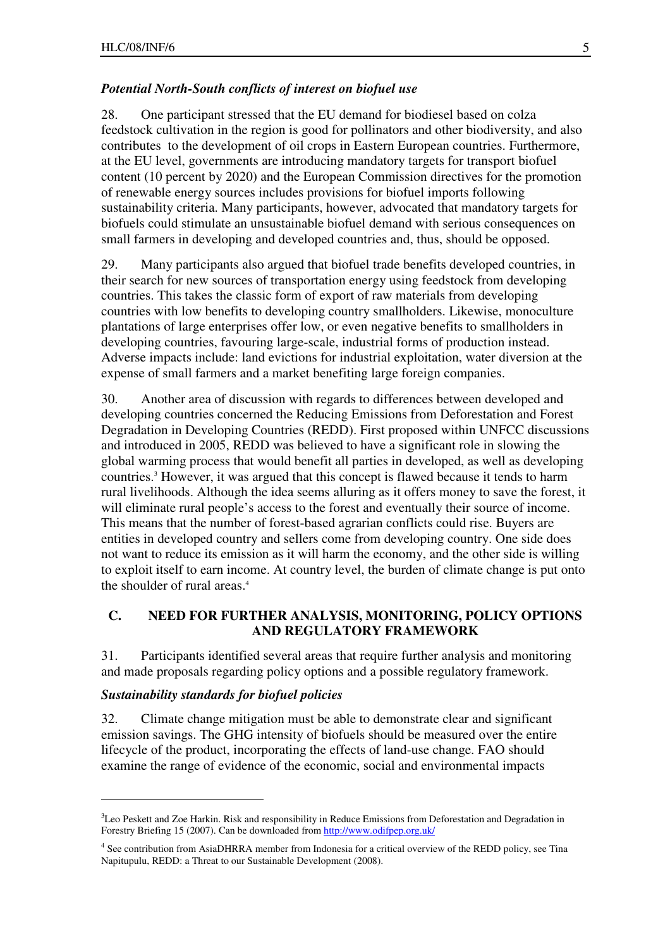#### *Potential North-South conflicts of interest on biofuel use*

28. One participant stressed that the EU demand for biodiesel based on colza feedstock cultivation in the region is good for pollinators and other biodiversity, and also contributes to the development of oil crops in Eastern European countries. Furthermore, at the EU level, governments are introducing mandatory targets for transport biofuel content (10 percent by 2020) and the European Commission directives for the promotion of renewable energy sources includes provisions for biofuel imports following sustainability criteria. Many participants, however, advocated that mandatory targets for biofuels could stimulate an unsustainable biofuel demand with serious consequences on small farmers in developing and developed countries and, thus, should be opposed.

29. Many participants also argued that biofuel trade benefits developed countries, in their search for new sources of transportation energy using feedstock from developing countries. This takes the classic form of export of raw materials from developing countries with low benefits to developing country smallholders. Likewise, monoculture plantations of large enterprises offer low, or even negative benefits to smallholders in developing countries, favouring large-scale, industrial forms of production instead. Adverse impacts include: land evictions for industrial exploitation, water diversion at the expense of small farmers and a market benefiting large foreign companies.

30. Another area of discussion with regards to differences between developed and developing countries concerned the Reducing Emissions from Deforestation and Forest Degradation in Developing Countries (REDD). First proposed within UNFCC discussions and introduced in 2005, REDD was believed to have a significant role in slowing the global warming process that would benefit all parties in developed, as well as developing countries.<sup>3</sup> However, it was argued that this concept is flawed because it tends to harm rural livelihoods. Although the idea seems alluring as it offers money to save the forest, it will eliminate rural people's access to the forest and eventually their source of income. This means that the number of forest-based agrarian conflicts could rise. Buyers are entities in developed country and sellers come from developing country. One side does not want to reduce its emission as it will harm the economy, and the other side is willing to exploit itself to earn income. At country level, the burden of climate change is put onto the shoulder of rural areas.<sup>4</sup>

#### **C. NEED FOR FURTHER ANALYSIS, MONITORING, POLICY OPTIONS AND REGULATORY FRAMEWORK**

31. Participants identified several areas that require further analysis and monitoring and made proposals regarding policy options and a possible regulatory framework.

#### *Sustainability standards for biofuel policies*

 $\overline{a}$ 

32. Climate change mitigation must be able to demonstrate clear and significant emission savings. The GHG intensity of biofuels should be measured over the entire lifecycle of the product, incorporating the effects of land-use change. FAO should examine the range of evidence of the economic, social and environmental impacts

<sup>&</sup>lt;sup>3</sup>Leo Peskett and Zoe Harkin. Risk and responsibility in Reduce Emissions from Deforestation and Degradation in Forestry Briefing 15 (2007). Can be downloaded from http://www.odifpep.org.uk/

<sup>4</sup> See contribution from AsiaDHRRA member from Indonesia for a critical overview of the REDD policy, see Tina Napitupulu, REDD: a Threat to our Sustainable Development (2008).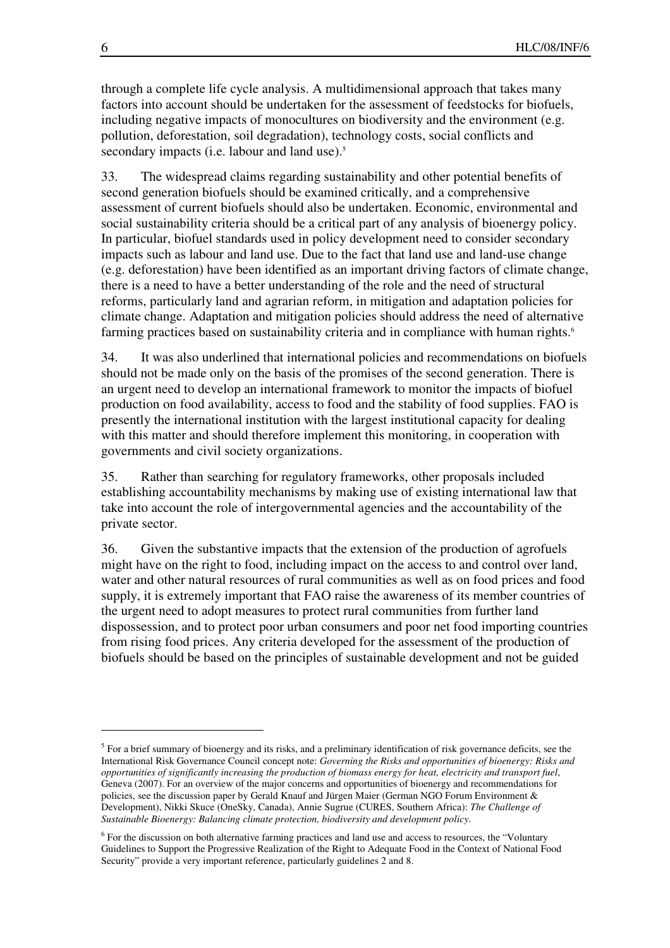through a complete life cycle analysis. A multidimensional approach that takes many factors into account should be undertaken for the assessment of feedstocks for biofuels, including negative impacts of monocultures on biodiversity and the environment (e.g. pollution, deforestation, soil degradation), technology costs, social conflicts and secondary impacts (i.e. labour and land use).<sup>5</sup>

33. The widespread claims regarding sustainability and other potential benefits of second generation biofuels should be examined critically, and a comprehensive assessment of current biofuels should also be undertaken. Economic, environmental and social sustainability criteria should be a critical part of any analysis of bioenergy policy. In particular, biofuel standards used in policy development need to consider secondary impacts such as labour and land use. Due to the fact that land use and land-use change (e.g. deforestation) have been identified as an important driving factors of climate change, there is a need to have a better understanding of the role and the need of structural reforms, particularly land and agrarian reform, in mitigation and adaptation policies for climate change. Adaptation and mitigation policies should address the need of alternative farming practices based on sustainability criteria and in compliance with human rights.<sup>6</sup>

34. It was also underlined that international policies and recommendations on biofuels should not be made only on the basis of the promises of the second generation. There is an urgent need to develop an international framework to monitor the impacts of biofuel production on food availability, access to food and the stability of food supplies. FAO is presently the international institution with the largest institutional capacity for dealing with this matter and should therefore implement this monitoring, in cooperation with governments and civil society organizations.

35. Rather than searching for regulatory frameworks, other proposals included establishing accountability mechanisms by making use of existing international law that take into account the role of intergovernmental agencies and the accountability of the private sector.

36. Given the substantive impacts that the extension of the production of agrofuels might have on the right to food, including impact on the access to and control over land, water and other natural resources of rural communities as well as on food prices and food supply, it is extremely important that FAO raise the awareness of its member countries of the urgent need to adopt measures to protect rural communities from further land dispossession, and to protect poor urban consumers and poor net food importing countries from rising food prices. Any criteria developed for the assessment of the production of biofuels should be based on the principles of sustainable development and not be guided

 $<sup>5</sup>$  For a brief summary of bioenergy and its risks, and a preliminary identification of risk governance deficits, see the</sup> International Risk Governance Council concept note: *Governing the Risks and opportunities of bioenergy: Risks and opportunities of significantly increasing the production of biomass energy for heat, electricity and transport fuel*, Geneva (2007). For an overview of the major concerns and opportunities of bioenergy and recommendations for policies, see the discussion paper by Gerald Knauf and Jürgen Maier (German NGO Forum Environment & Development), Nikki Skuce (OneSky, Canada), Annie Sugrue (CURES, Southern Africa): *The Challenge of Sustainable Bioenergy: Balancing climate protection, biodiversity and development policy*.

<sup>&</sup>lt;sup>6</sup> For the discussion on both alternative farming practices and land use and access to resources, the "Voluntary Guidelines to Support the Progressive Realization of the Right to Adequate Food in the Context of National Food Security" provide a very important reference, particularly guidelines 2 and 8.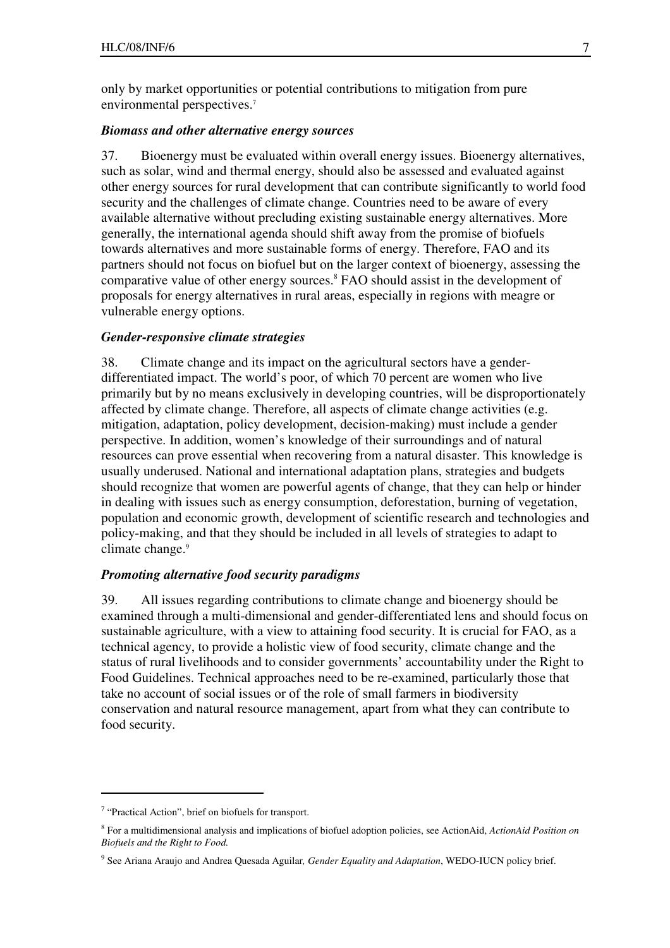only by market opportunities or potential contributions to mitigation from pure environmental perspectives.<sup>7</sup>

#### *Biomass and other alternative energy sources*

37. Bioenergy must be evaluated within overall energy issues. Bioenergy alternatives, such as solar, wind and thermal energy, should also be assessed and evaluated against other energy sources for rural development that can contribute significantly to world food security and the challenges of climate change. Countries need to be aware of every available alternative without precluding existing sustainable energy alternatives. More generally, the international agenda should shift away from the promise of biofuels towards alternatives and more sustainable forms of energy. Therefore, FAO and its partners should not focus on biofuel but on the larger context of bioenergy, assessing the comparative value of other energy sources.<sup>8</sup> FAO should assist in the development of proposals for energy alternatives in rural areas, especially in regions with meagre or vulnerable energy options.

#### *Gender-responsive climate strategies*

38. Climate change and its impact on the agricultural sectors have a genderdifferentiated impact. The world's poor, of which 70 percent are women who live primarily but by no means exclusively in developing countries, will be disproportionately affected by climate change. Therefore, all aspects of climate change activities (e.g. mitigation, adaptation, policy development, decision-making) must include a gender perspective. In addition, women's knowledge of their surroundings and of natural resources can prove essential when recovering from a natural disaster. This knowledge is usually underused. National and international adaptation plans, strategies and budgets should recognize that women are powerful agents of change, that they can help or hinder in dealing with issues such as energy consumption, deforestation, burning of vegetation, population and economic growth, development of scientific research and technologies and policy-making, and that they should be included in all levels of strategies to adapt to climate change.<sup>9</sup>

#### *Promoting alternative food security paradigms*

39. All issues regarding contributions to climate change and bioenergy should be examined through a multi-dimensional and gender-differentiated lens and should focus on sustainable agriculture, with a view to attaining food security. It is crucial for FAO, as a technical agency, to provide a holistic view of food security, climate change and the status of rural livelihoods and to consider governments' accountability under the Right to Food Guidelines. Technical approaches need to be re-examined, particularly those that take no account of social issues or of the role of small farmers in biodiversity conservation and natural resource management, apart from what they can contribute to food security.

<sup>&</sup>lt;sup>7</sup> "Practical Action", brief on biofuels for transport.

<sup>8</sup> For a multidimensional analysis and implications of biofuel adoption policies, see ActionAid, *ActionAid Position on Biofuels and the Right to Food.*

<sup>9</sup> See Ariana Araujo and Andrea Quesada Aguilar*, Gender Equality and Adaptation*, WEDO-IUCN policy brief.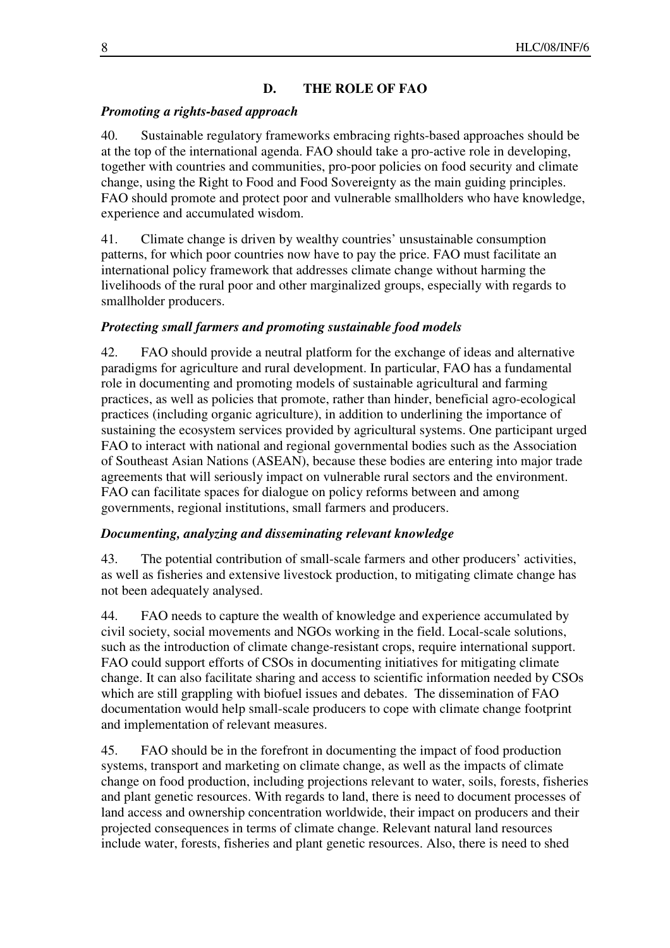### **D. THE ROLE OF FAO**

#### *Promoting a rights-based approach*

40. Sustainable regulatory frameworks embracing rights-based approaches should be at the top of the international agenda. FAO should take a pro-active role in developing, together with countries and communities, pro-poor policies on food security and climate change, using the Right to Food and Food Sovereignty as the main guiding principles. FAO should promote and protect poor and vulnerable smallholders who have knowledge, experience and accumulated wisdom.

41. Climate change is driven by wealthy countries' unsustainable consumption patterns, for which poor countries now have to pay the price. FAO must facilitate an international policy framework that addresses climate change without harming the livelihoods of the rural poor and other marginalized groups, especially with regards to smallholder producers.

#### *Protecting small farmers and promoting sustainable food models*

42. FAO should provide a neutral platform for the exchange of ideas and alternative paradigms for agriculture and rural development. In particular, FAO has a fundamental role in documenting and promoting models of sustainable agricultural and farming practices, as well as policies that promote, rather than hinder, beneficial agro-ecological practices (including organic agriculture), in addition to underlining the importance of sustaining the ecosystem services provided by agricultural systems. One participant urged FAO to interact with national and regional governmental bodies such as the Association of Southeast Asian Nations (ASEAN), because these bodies are entering into major trade agreements that will seriously impact on vulnerable rural sectors and the environment. FAO can facilitate spaces for dialogue on policy reforms between and among governments, regional institutions, small farmers and producers.

#### *Documenting, analyzing and disseminating relevant knowledge*

43. The potential contribution of small-scale farmers and other producers' activities, as well as fisheries and extensive livestock production, to mitigating climate change has not been adequately analysed.

44. FAO needs to capture the wealth of knowledge and experience accumulated by civil society, social movements and NGOs working in the field. Local-scale solutions, such as the introduction of climate change-resistant crops, require international support. FAO could support efforts of CSOs in documenting initiatives for mitigating climate change. It can also facilitate sharing and access to scientific information needed by CSOs which are still grappling with biofuel issues and debates. The dissemination of FAO documentation would help small-scale producers to cope with climate change footprint and implementation of relevant measures.

45. FAO should be in the forefront in documenting the impact of food production systems, transport and marketing on climate change, as well as the impacts of climate change on food production, including projections relevant to water, soils, forests, fisheries and plant genetic resources. With regards to land, there is need to document processes of land access and ownership concentration worldwide, their impact on producers and their projected consequences in terms of climate change. Relevant natural land resources include water, forests, fisheries and plant genetic resources. Also, there is need to shed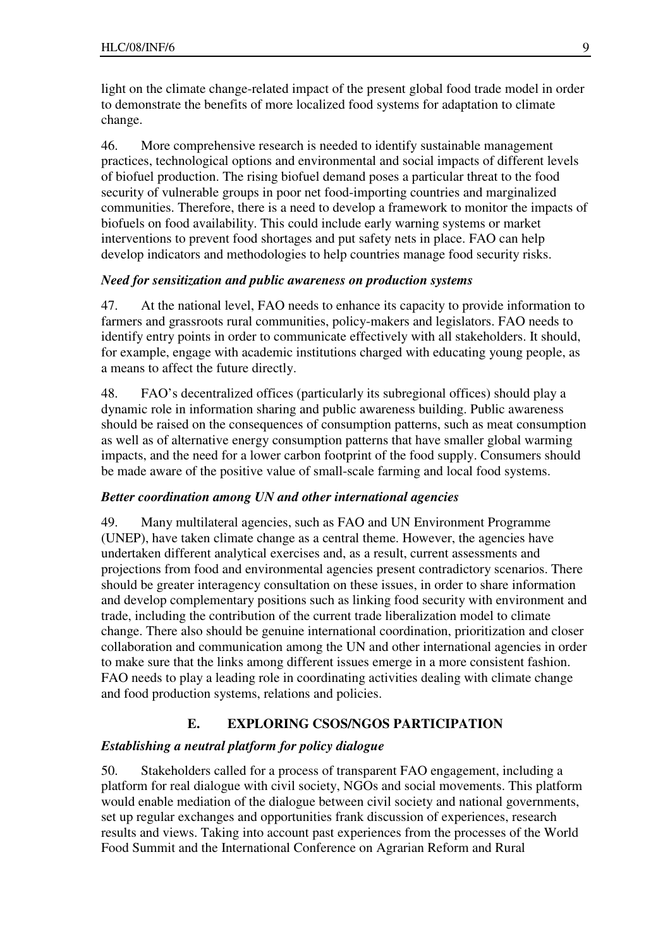light on the climate change-related impact of the present global food trade model in order to demonstrate the benefits of more localized food systems for adaptation to climate change.

46. More comprehensive research is needed to identify sustainable management practices, technological options and environmental and social impacts of different levels of biofuel production. The rising biofuel demand poses a particular threat to the food security of vulnerable groups in poor net food-importing countries and marginalized communities. Therefore, there is a need to develop a framework to monitor the impacts of biofuels on food availability. This could include early warning systems or market interventions to prevent food shortages and put safety nets in place. FAO can help develop indicators and methodologies to help countries manage food security risks.

#### *Need for sensitization and public awareness on production systems*

47. At the national level, FAO needs to enhance its capacity to provide information to farmers and grassroots rural communities, policy-makers and legislators. FAO needs to identify entry points in order to communicate effectively with all stakeholders. It should, for example, engage with academic institutions charged with educating young people, as a means to affect the future directly.

48. FAO's decentralized offices (particularly its subregional offices) should play a dynamic role in information sharing and public awareness building. Public awareness should be raised on the consequences of consumption patterns, such as meat consumption as well as of alternative energy consumption patterns that have smaller global warming impacts, and the need for a lower carbon footprint of the food supply. Consumers should be made aware of the positive value of small-scale farming and local food systems.

#### *Better coordination among UN and other international agencies*

49. Many multilateral agencies, such as FAO and UN Environment Programme (UNEP), have taken climate change as a central theme. However, the agencies have undertaken different analytical exercises and, as a result, current assessments and projections from food and environmental agencies present contradictory scenarios. There should be greater interagency consultation on these issues, in order to share information and develop complementary positions such as linking food security with environment and trade, including the contribution of the current trade liberalization model to climate change. There also should be genuine international coordination, prioritization and closer collaboration and communication among the UN and other international agencies in order to make sure that the links among different issues emerge in a more consistent fashion. FAO needs to play a leading role in coordinating activities dealing with climate change and food production systems, relations and policies.

#### **E. EXPLORING CSOS/NGOS PARTICIPATION**

#### *Establishing a neutral platform for policy dialogue*

50. Stakeholders called for a process of transparent FAO engagement, including a platform for real dialogue with civil society, NGOs and social movements. This platform would enable mediation of the dialogue between civil society and national governments, set up regular exchanges and opportunities frank discussion of experiences, research results and views. Taking into account past experiences from the processes of the World Food Summit and the International Conference on Agrarian Reform and Rural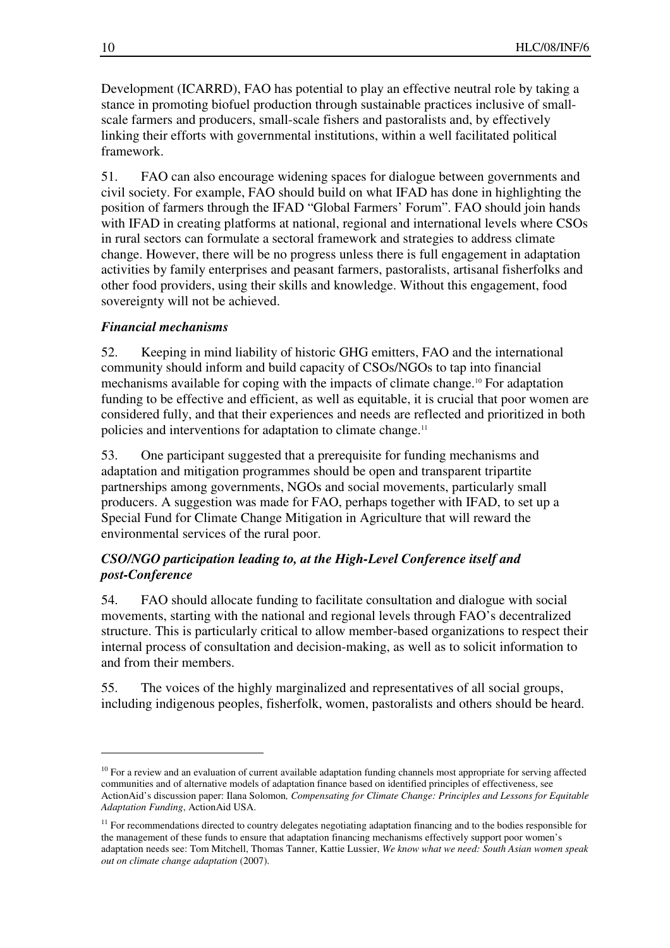Development (ICARRD), FAO has potential to play an effective neutral role by taking a stance in promoting biofuel production through sustainable practices inclusive of smallscale farmers and producers, small-scale fishers and pastoralists and, by effectively linking their efforts with governmental institutions, within a well facilitated political framework.

51. FAO can also encourage widening spaces for dialogue between governments and civil society. For example, FAO should build on what IFAD has done in highlighting the position of farmers through the IFAD "Global Farmers' Forum". FAO should join hands with IFAD in creating platforms at national, regional and international levels where CSOs in rural sectors can formulate a sectoral framework and strategies to address climate change. However, there will be no progress unless there is full engagement in adaptation activities by family enterprises and peasant farmers, pastoralists, artisanal fisherfolks and other food providers, using their skills and knowledge. Without this engagement, food sovereignty will not be achieved.

### *Financial mechanisms*

52. Keeping in mind liability of historic GHG emitters, FAO and the international community should inform and build capacity of CSOs/NGOs to tap into financial mechanisms available for coping with the impacts of climate change.<sup>10</sup> For adaptation funding to be effective and efficient, as well as equitable, it is crucial that poor women are considered fully, and that their experiences and needs are reflected and prioritized in both policies and interventions for adaptation to climate change.<sup>11</sup>

53. One participant suggested that a prerequisite for funding mechanisms and adaptation and mitigation programmes should be open and transparent tripartite partnerships among governments, NGOs and social movements, particularly small producers. A suggestion was made for FAO, perhaps together with IFAD, to set up a Special Fund for Climate Change Mitigation in Agriculture that will reward the environmental services of the rural poor.

## *CSO/NGO participation leading to, at the High-Level Conference itself and post-Conference*

54. FAO should allocate funding to facilitate consultation and dialogue with social movements, starting with the national and regional levels through FAO's decentralized structure. This is particularly critical to allow member-based organizations to respect their internal process of consultation and decision-making, as well as to solicit information to and from their members.

55. The voices of the highly marginalized and representatives of all social groups, including indigenous peoples, fisherfolk, women, pastoralists and others should be heard.

 $10$  For a review and an evaluation of current available adaptation funding channels most appropriate for serving affected communities and of alternative models of adaptation finance based on identified principles of effectiveness, see ActionAid's discussion paper: Ilana Solomon*, Compensating for Climate Change: Principles and Lessons for Equitable Adaptation Funding*, ActionAid USA.

<sup>&</sup>lt;sup>11</sup> For recommendations directed to country delegates negotiating adaptation financing and to the bodies responsible for the management of these funds to ensure that adaptation financing mechanisms effectively support poor women's adaptation needs see: Tom Mitchell, Thomas Tanner, Kattie Lussier, *We know what we need: South Asian women speak out on climate change adaptation* (2007).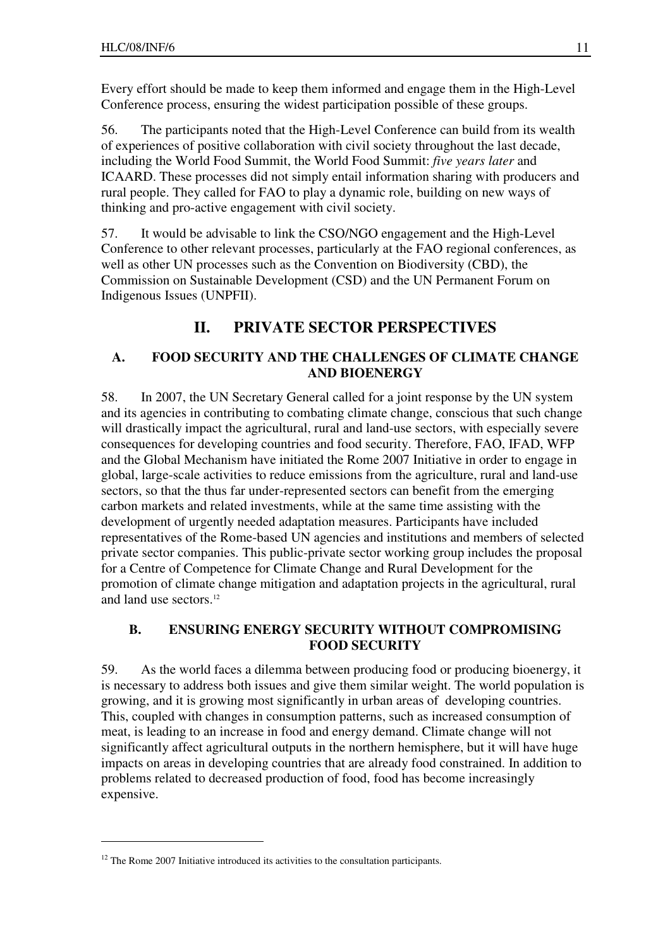Every effort should be made to keep them informed and engage them in the High-Level Conference process, ensuring the widest participation possible of these groups.

56. The participants noted that the High-Level Conference can build from its wealth of experiences of positive collaboration with civil society throughout the last decade, including the World Food Summit, the World Food Summit: *five years later* and ICAARD. These processes did not simply entail information sharing with producers and rural people. They called for FAO to play a dynamic role, building on new ways of thinking and pro-active engagement with civil society.

57. It would be advisable to link the CSO/NGO engagement and the High-Level Conference to other relevant processes, particularly at the FAO regional conferences, as well as other UN processes such as the Convention on Biodiversity (CBD), the Commission on Sustainable Development (CSD) and the UN Permanent Forum on Indigenous Issues (UNPFII).

# **II. PRIVATE SECTOR PERSPECTIVES**

### **A. FOOD SECURITY AND THE CHALLENGES OF CLIMATE CHANGE AND BIOENERGY**

58. In 2007, the UN Secretary General called for a joint response by the UN system and its agencies in contributing to combating climate change, conscious that such change will drastically impact the agricultural, rural and land-use sectors, with especially severe consequences for developing countries and food security. Therefore, FAO, IFAD, WFP and the Global Mechanism have initiated the Rome 2007 Initiative in order to engage in global, large-scale activities to reduce emissions from the agriculture, rural and land-use sectors, so that the thus far under-represented sectors can benefit from the emerging carbon markets and related investments, while at the same time assisting with the development of urgently needed adaptation measures. Participants have included representatives of the Rome-based UN agencies and institutions and members of selected private sector companies. This public-private sector working group includes the proposal for a Centre of Competence for Climate Change and Rural Development for the promotion of climate change mitigation and adaptation projects in the agricultural, rural and land use sectors.<sup>12</sup>

## **B. ENSURING ENERGY SECURITY WITHOUT COMPROMISING FOOD SECURITY**

59. As the world faces a dilemma between producing food or producing bioenergy, it is necessary to address both issues and give them similar weight. The world population is growing, and it is growing most significantly in urban areas of developing countries. This, coupled with changes in consumption patterns, such as increased consumption of meat, is leading to an increase in food and energy demand. Climate change will not significantly affect agricultural outputs in the northern hemisphere, but it will have huge impacts on areas in developing countries that are already food constrained. In addition to problems related to decreased production of food, food has become increasingly expensive.

<sup>&</sup>lt;sup>12</sup> The Rome 2007 Initiative introduced its activities to the consultation participants.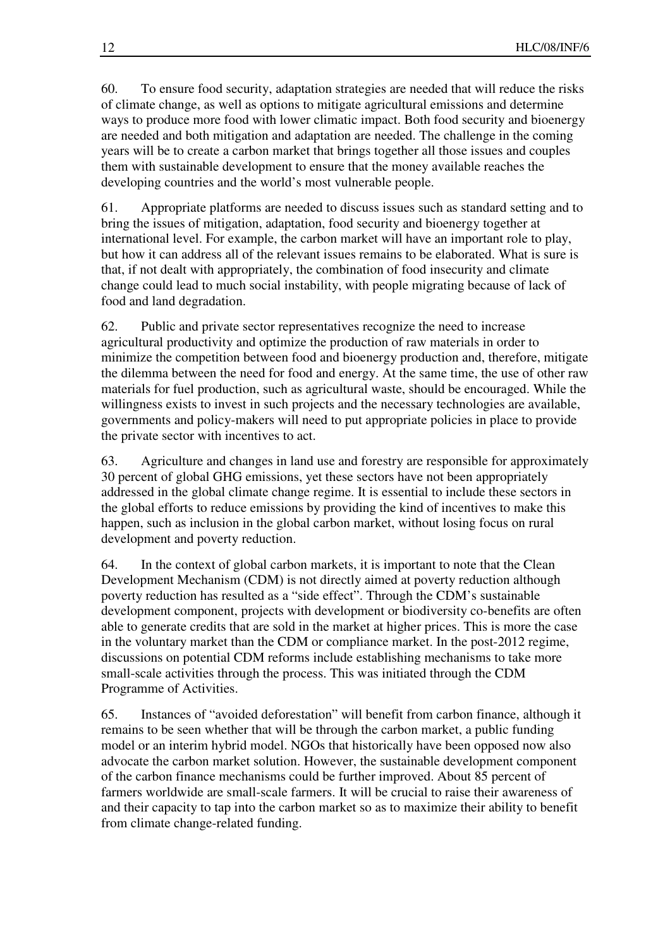60. To ensure food security, adaptation strategies are needed that will reduce the risks of climate change, as well as options to mitigate agricultural emissions and determine ways to produce more food with lower climatic impact. Both food security and bioenergy are needed and both mitigation and adaptation are needed. The challenge in the coming years will be to create a carbon market that brings together all those issues and couples them with sustainable development to ensure that the money available reaches the developing countries and the world's most vulnerable people.

61. Appropriate platforms are needed to discuss issues such as standard setting and to bring the issues of mitigation, adaptation, food security and bioenergy together at international level. For example, the carbon market will have an important role to play, but how it can address all of the relevant issues remains to be elaborated. What is sure is that, if not dealt with appropriately, the combination of food insecurity and climate change could lead to much social instability, with people migrating because of lack of food and land degradation.

62. Public and private sector representatives recognize the need to increase agricultural productivity and optimize the production of raw materials in order to minimize the competition between food and bioenergy production and, therefore, mitigate the dilemma between the need for food and energy. At the same time, the use of other raw materials for fuel production, such as agricultural waste, should be encouraged. While the willingness exists to invest in such projects and the necessary technologies are available, governments and policy-makers will need to put appropriate policies in place to provide the private sector with incentives to act.

63. Agriculture and changes in land use and forestry are responsible for approximately 30 percent of global GHG emissions, yet these sectors have not been appropriately addressed in the global climate change regime. It is essential to include these sectors in the global efforts to reduce emissions by providing the kind of incentives to make this happen, such as inclusion in the global carbon market, without losing focus on rural development and poverty reduction.

64. In the context of global carbon markets, it is important to note that the Clean Development Mechanism (CDM) is not directly aimed at poverty reduction although poverty reduction has resulted as a "side effect". Through the CDM's sustainable development component, projects with development or biodiversity co-benefits are often able to generate credits that are sold in the market at higher prices. This is more the case in the voluntary market than the CDM or compliance market. In the post-2012 regime, discussions on potential CDM reforms include establishing mechanisms to take more small-scale activities through the process. This was initiated through the CDM Programme of Activities.

65. Instances of "avoided deforestation" will benefit from carbon finance, although it remains to be seen whether that will be through the carbon market, a public funding model or an interim hybrid model. NGOs that historically have been opposed now also advocate the carbon market solution. However, the sustainable development component of the carbon finance mechanisms could be further improved. About 85 percent of farmers worldwide are small-scale farmers. It will be crucial to raise their awareness of and their capacity to tap into the carbon market so as to maximize their ability to benefit from climate change-related funding.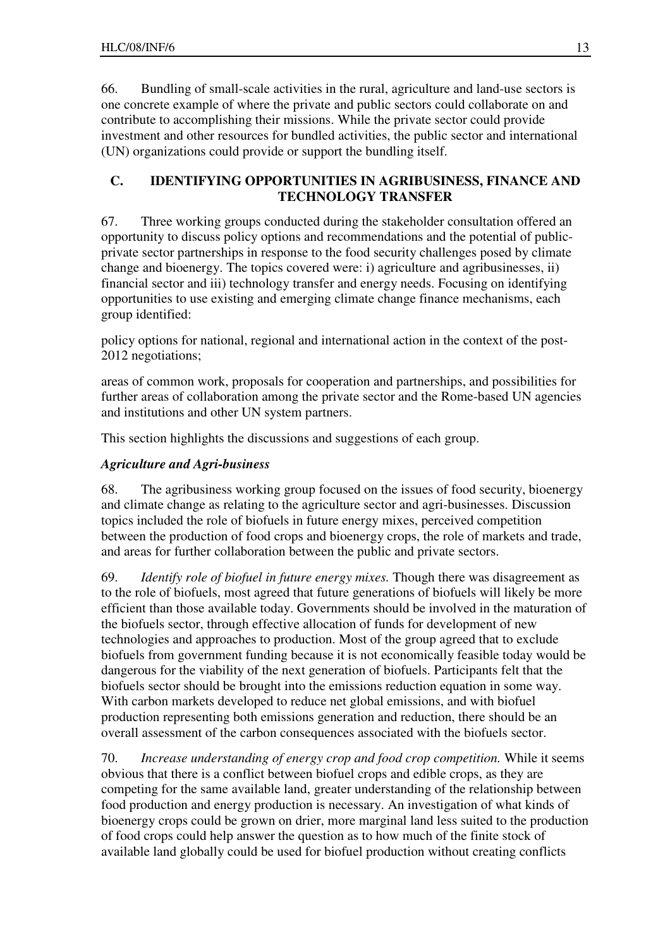66. Bundling of small-scale activities in the rural, agriculture and land-use sectors is one concrete example of where the private and public sectors could collaborate on and contribute to accomplishing their missions. While the private sector could provide investment and other resources for bundled activities, the public sector and international (UN) organizations could provide or support the bundling itself.

## **C. IDENTIFYING OPPORTUNITIES IN AGRIBUSINESS, FINANCE AND TECHNOLOGY TRANSFER**

67. Three working groups conducted during the stakeholder consultation offered an opportunity to discuss policy options and recommendations and the potential of publicprivate sector partnerships in response to the food security challenges posed by climate change and bioenergy. The topics covered were: i) agriculture and agribusinesses, ii) financial sector and iii) technology transfer and energy needs. Focusing on identifying opportunities to use existing and emerging climate change finance mechanisms, each group identified:

policy options for national, regional and international action in the context of the post-2012 negotiations;

areas of common work, proposals for cooperation and partnerships, and possibilities for further areas of collaboration among the private sector and the Rome-based UN agencies and institutions and other UN system partners.

This section highlights the discussions and suggestions of each group.

## *Agriculture and Agri-business*

68. The agribusiness working group focused on the issues of food security, bioenergy and climate change as relating to the agriculture sector and agri-businesses. Discussion topics included the role of biofuels in future energy mixes, perceived competition between the production of food crops and bioenergy crops, the role of markets and trade, and areas for further collaboration between the public and private sectors.

69. *Identify role of biofuel in future energy mixes.* Though there was disagreement as to the role of biofuels, most agreed that future generations of biofuels will likely be more efficient than those available today. Governments should be involved in the maturation of the biofuels sector, through effective allocation of funds for development of new technologies and approaches to production. Most of the group agreed that to exclude biofuels from government funding because it is not economically feasible today would be dangerous for the viability of the next generation of biofuels. Participants felt that the biofuels sector should be brought into the emissions reduction equation in some way. With carbon markets developed to reduce net global emissions, and with biofuel production representing both emissions generation and reduction, there should be an overall assessment of the carbon consequences associated with the biofuels sector.

70. *Increase understanding of energy crop and food crop competition.* While it seems obvious that there is a conflict between biofuel crops and edible crops, as they are competing for the same available land, greater understanding of the relationship between food production and energy production is necessary. An investigation of what kinds of bioenergy crops could be grown on drier, more marginal land less suited to the production of food crops could help answer the question as to how much of the finite stock of available land globally could be used for biofuel production without creating conflicts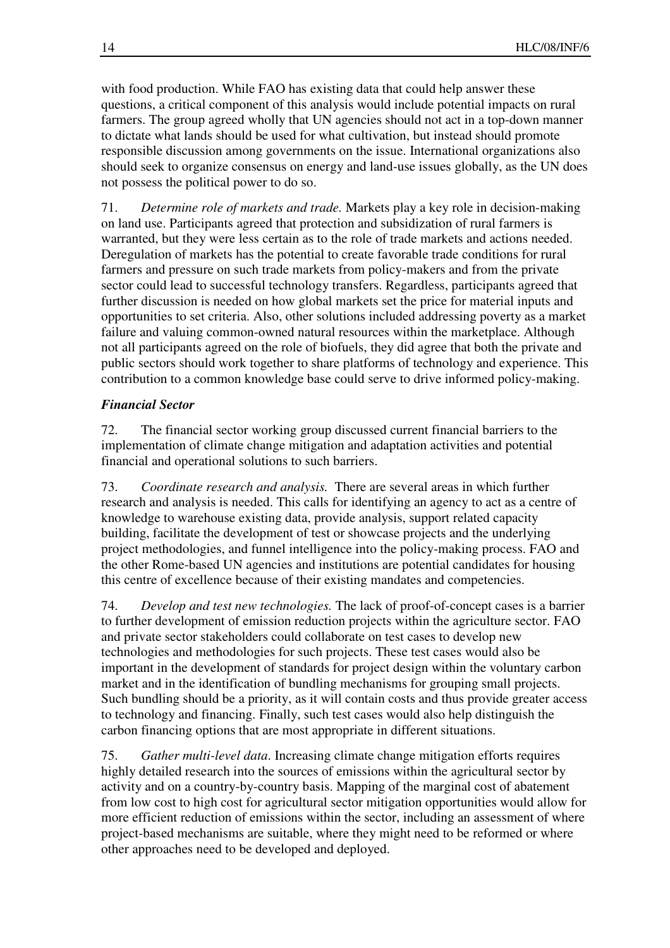with food production. While FAO has existing data that could help answer these questions, a critical component of this analysis would include potential impacts on rural farmers. The group agreed wholly that UN agencies should not act in a top-down manner to dictate what lands should be used for what cultivation, but instead should promote responsible discussion among governments on the issue. International organizations also should seek to organize consensus on energy and land-use issues globally, as the UN does not possess the political power to do so.

71. *Determine role of markets and trade.* Markets play a key role in decision-making on land use. Participants agreed that protection and subsidization of rural farmers is warranted, but they were less certain as to the role of trade markets and actions needed. Deregulation of markets has the potential to create favorable trade conditions for rural farmers and pressure on such trade markets from policy-makers and from the private sector could lead to successful technology transfers. Regardless, participants agreed that further discussion is needed on how global markets set the price for material inputs and opportunities to set criteria. Also, other solutions included addressing poverty as a market failure and valuing common-owned natural resources within the marketplace. Although not all participants agreed on the role of biofuels, they did agree that both the private and public sectors should work together to share platforms of technology and experience. This contribution to a common knowledge base could serve to drive informed policy-making.

## *Financial Sector*

72. The financial sector working group discussed current financial barriers to the implementation of climate change mitigation and adaptation activities and potential financial and operational solutions to such barriers.

73. *Coordinate research and analysis.* There are several areas in which further research and analysis is needed. This calls for identifying an agency to act as a centre of knowledge to warehouse existing data, provide analysis, support related capacity building, facilitate the development of test or showcase projects and the underlying project methodologies, and funnel intelligence into the policy-making process. FAO and the other Rome-based UN agencies and institutions are potential candidates for housing this centre of excellence because of their existing mandates and competencies.

74. *Develop and test new technologies.* The lack of proof-of-concept cases is a barrier to further development of emission reduction projects within the agriculture sector. FAO and private sector stakeholders could collaborate on test cases to develop new technologies and methodologies for such projects. These test cases would also be important in the development of standards for project design within the voluntary carbon market and in the identification of bundling mechanisms for grouping small projects. Such bundling should be a priority, as it will contain costs and thus provide greater access to technology and financing. Finally, such test cases would also help distinguish the carbon financing options that are most appropriate in different situations.

75. *Gather multi-level data*. Increasing climate change mitigation efforts requires highly detailed research into the sources of emissions within the agricultural sector by activity and on a country-by-country basis. Mapping of the marginal cost of abatement from low cost to high cost for agricultural sector mitigation opportunities would allow for more efficient reduction of emissions within the sector, including an assessment of where project-based mechanisms are suitable, where they might need to be reformed or where other approaches need to be developed and deployed.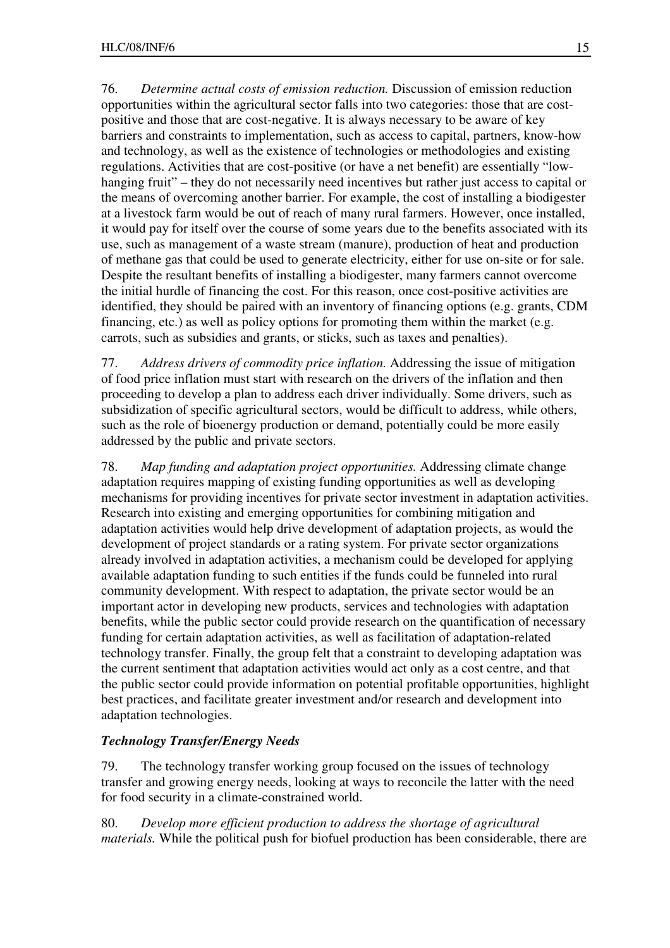76. *Determine actual costs of emission reduction.* Discussion of emission reduction opportunities within the agricultural sector falls into two categories: those that are costpositive and those that are cost-negative. It is always necessary to be aware of key barriers and constraints to implementation, such as access to capital, partners, know-how and technology, as well as the existence of technologies or methodologies and existing regulations. Activities that are cost-positive (or have a net benefit) are essentially "lowhanging fruit" – they do not necessarily need incentives but rather just access to capital or the means of overcoming another barrier. For example, the cost of installing a biodigester at a livestock farm would be out of reach of many rural farmers. However, once installed, it would pay for itself over the course of some years due to the benefits associated with its use, such as management of a waste stream (manure), production of heat and production of methane gas that could be used to generate electricity, either for use on-site or for sale. Despite the resultant benefits of installing a biodigester, many farmers cannot overcome the initial hurdle of financing the cost. For this reason, once cost-positive activities are identified, they should be paired with an inventory of financing options (e.g. grants, CDM financing, etc.) as well as policy options for promoting them within the market (e.g. carrots, such as subsidies and grants, or sticks, such as taxes and penalties).

77. *Address drivers of commodity price inflation.* Addressing the issue of mitigation of food price inflation must start with research on the drivers of the inflation and then proceeding to develop a plan to address each driver individually. Some drivers, such as subsidization of specific agricultural sectors, would be difficult to address, while others, such as the role of bioenergy production or demand, potentially could be more easily addressed by the public and private sectors.

78. *Map funding and adaptation project opportunities.* Addressing climate change adaptation requires mapping of existing funding opportunities as well as developing mechanisms for providing incentives for private sector investment in adaptation activities. Research into existing and emerging opportunities for combining mitigation and adaptation activities would help drive development of adaptation projects, as would the development of project standards or a rating system. For private sector organizations already involved in adaptation activities, a mechanism could be developed for applying available adaptation funding to such entities if the funds could be funneled into rural community development. With respect to adaptation, the private sector would be an important actor in developing new products, services and technologies with adaptation benefits, while the public sector could provide research on the quantification of necessary funding for certain adaptation activities, as well as facilitation of adaptation-related technology transfer. Finally, the group felt that a constraint to developing adaptation was the current sentiment that adaptation activities would act only as a cost centre, and that the public sector could provide information on potential profitable opportunities, highlight best practices, and facilitate greater investment and/or research and development into adaptation technologies.

#### *Technology Transfer/Energy Needs*

79. The technology transfer working group focused on the issues of technology transfer and growing energy needs, looking at ways to reconcile the latter with the need for food security in a climate-constrained world.

80. *Develop more efficient production to address the shortage of agricultural materials.* While the political push for biofuel production has been considerable, there are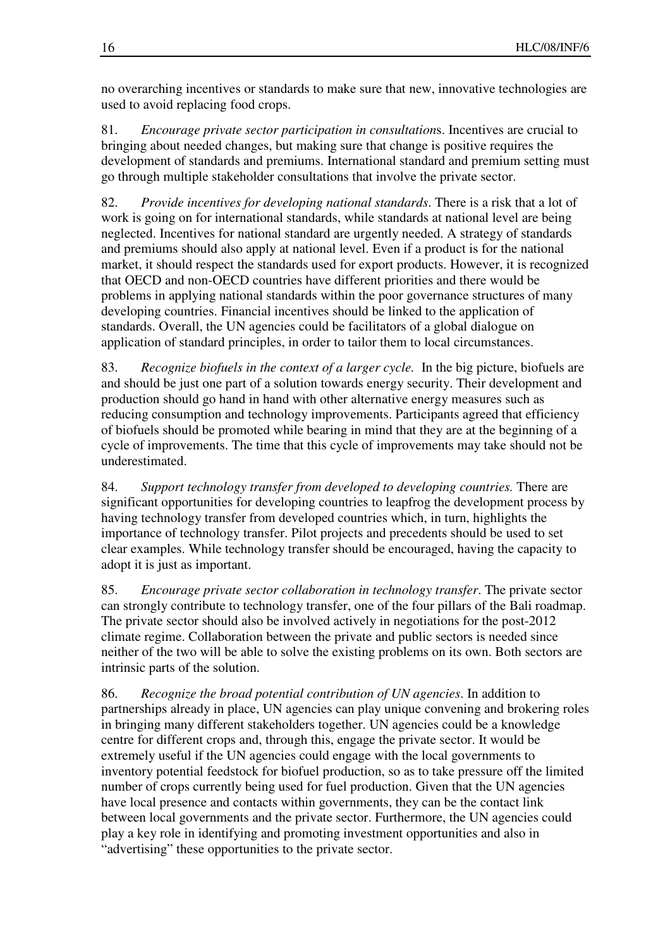no overarching incentives or standards to make sure that new, innovative technologies are used to avoid replacing food crops.

81. *Encourage private sector participation in consultation*s. Incentives are crucial to bringing about needed changes, but making sure that change is positive requires the development of standards and premiums. International standard and premium setting must go through multiple stakeholder consultations that involve the private sector.

82. *Provide incentives for developing national standards*. There is a risk that a lot of work is going on for international standards, while standards at national level are being neglected. Incentives for national standard are urgently needed. A strategy of standards and premiums should also apply at national level. Even if a product is for the national market, it should respect the standards used for export products. However, it is recognized that OECD and non-OECD countries have different priorities and there would be problems in applying national standards within the poor governance structures of many developing countries. Financial incentives should be linked to the application of standards. Overall, the UN agencies could be facilitators of a global dialogue on application of standard principles, in order to tailor them to local circumstances.

83. *Recognize biofuels in the context of a larger cycle.* In the big picture, biofuels are and should be just one part of a solution towards energy security. Their development and production should go hand in hand with other alternative energy measures such as reducing consumption and technology improvements. Participants agreed that efficiency of biofuels should be promoted while bearing in mind that they are at the beginning of a cycle of improvements. The time that this cycle of improvements may take should not be underestimated.

84. *Support technology transfer from developed to developing countries.* There are significant opportunities for developing countries to leapfrog the development process by having technology transfer from developed countries which, in turn, highlights the importance of technology transfer. Pilot projects and precedents should be used to set clear examples. While technology transfer should be encouraged, having the capacity to adopt it is just as important.

85. *Encourage private sector collaboration in technology transfer*. The private sector can strongly contribute to technology transfer, one of the four pillars of the Bali roadmap. The private sector should also be involved actively in negotiations for the post-2012 climate regime. Collaboration between the private and public sectors is needed since neither of the two will be able to solve the existing problems on its own. Both sectors are intrinsic parts of the solution.

86. *Recognize the broad potential contribution of UN agencies*. In addition to partnerships already in place, UN agencies can play unique convening and brokering roles in bringing many different stakeholders together. UN agencies could be a knowledge centre for different crops and, through this, engage the private sector. It would be extremely useful if the UN agencies could engage with the local governments to inventory potential feedstock for biofuel production, so as to take pressure off the limited number of crops currently being used for fuel production. Given that the UN agencies have local presence and contacts within governments, they can be the contact link between local governments and the private sector. Furthermore, the UN agencies could play a key role in identifying and promoting investment opportunities and also in "advertising" these opportunities to the private sector.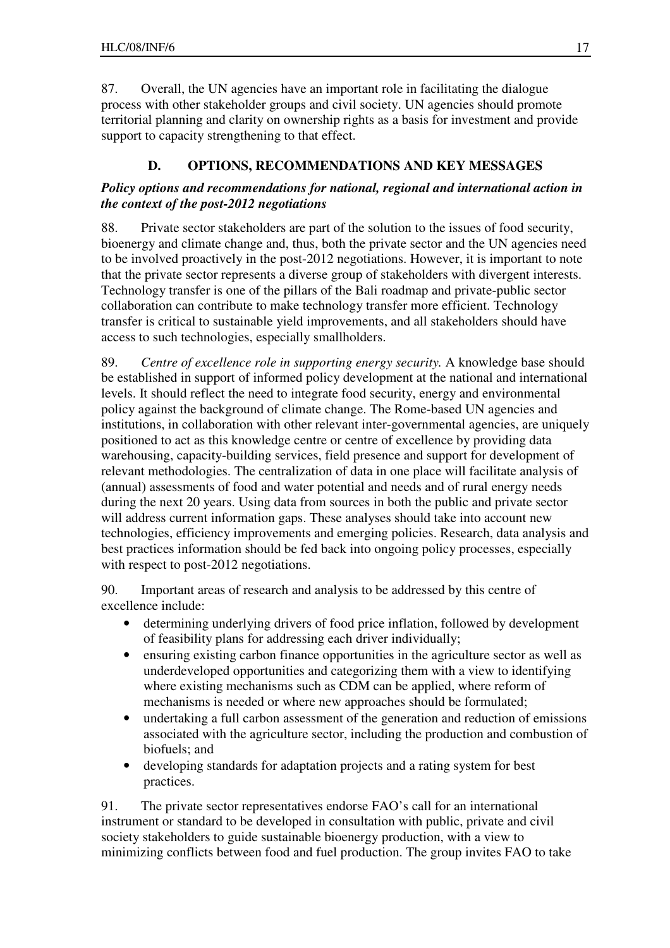87. Overall, the UN agencies have an important role in facilitating the dialogue process with other stakeholder groups and civil society. UN agencies should promote territorial planning and clarity on ownership rights as a basis for investment and provide support to capacity strengthening to that effect.

# **D. OPTIONS, RECOMMENDATIONS AND KEY MESSAGES**

## *Policy options and recommendations for national, regional and international action in the context of the post-2012 negotiations*

88. Private sector stakeholders are part of the solution to the issues of food security, bioenergy and climate change and, thus, both the private sector and the UN agencies need to be involved proactively in the post-2012 negotiations. However, it is important to note that the private sector represents a diverse group of stakeholders with divergent interests. Technology transfer is one of the pillars of the Bali roadmap and private-public sector collaboration can contribute to make technology transfer more efficient. Technology transfer is critical to sustainable yield improvements, and all stakeholders should have access to such technologies, especially smallholders.

89. *Centre of excellence role in supporting energy security.* A knowledge base should be established in support of informed policy development at the national and international levels. It should reflect the need to integrate food security, energy and environmental policy against the background of climate change. The Rome-based UN agencies and institutions, in collaboration with other relevant inter-governmental agencies, are uniquely positioned to act as this knowledge centre or centre of excellence by providing data warehousing, capacity-building services, field presence and support for development of relevant methodologies. The centralization of data in one place will facilitate analysis of (annual) assessments of food and water potential and needs and of rural energy needs during the next 20 years. Using data from sources in both the public and private sector will address current information gaps. These analyses should take into account new technologies, efficiency improvements and emerging policies. Research, data analysis and best practices information should be fed back into ongoing policy processes, especially with respect to post-2012 negotiations.

90. Important areas of research and analysis to be addressed by this centre of excellence include:

- determining underlying drivers of food price inflation, followed by development of feasibility plans for addressing each driver individually;
- ensuring existing carbon finance opportunities in the agriculture sector as well as underdeveloped opportunities and categorizing them with a view to identifying where existing mechanisms such as CDM can be applied, where reform of mechanisms is needed or where new approaches should be formulated;
- undertaking a full carbon assessment of the generation and reduction of emissions associated with the agriculture sector, including the production and combustion of biofuels; and
- developing standards for adaptation projects and a rating system for best practices.

91. The private sector representatives endorse FAO's call for an international instrument or standard to be developed in consultation with public, private and civil society stakeholders to guide sustainable bioenergy production, with a view to minimizing conflicts between food and fuel production. The group invites FAO to take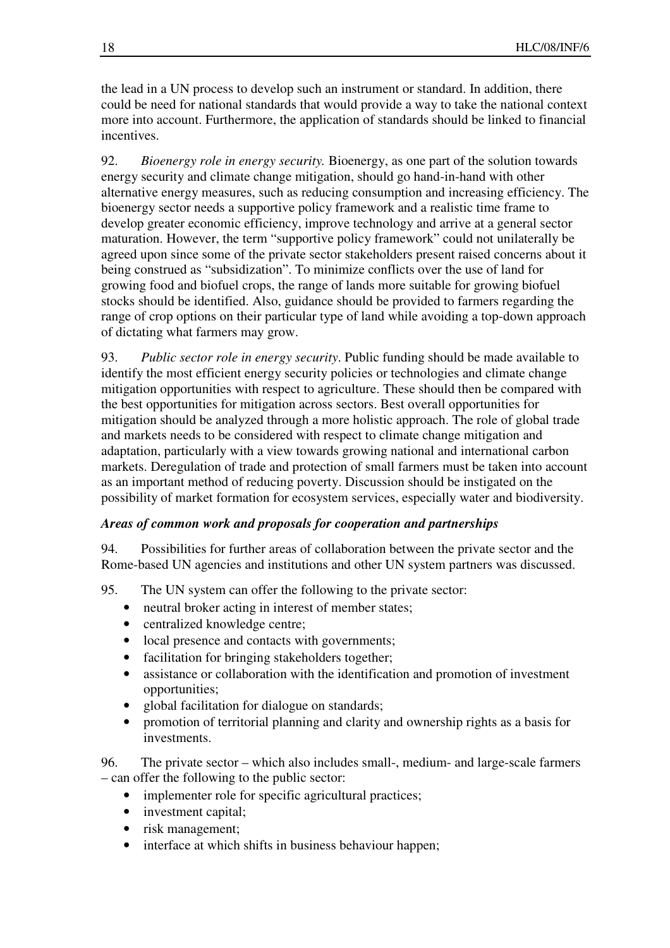the lead in a UN process to develop such an instrument or standard. In addition, there could be need for national standards that would provide a way to take the national context more into account. Furthermore, the application of standards should be linked to financial incentives.

92. *Bioenergy role in energy security.* Bioenergy, as one part of the solution towards energy security and climate change mitigation, should go hand-in-hand with other alternative energy measures, such as reducing consumption and increasing efficiency. The bioenergy sector needs a supportive policy framework and a realistic time frame to develop greater economic efficiency, improve technology and arrive at a general sector maturation. However, the term "supportive policy framework" could not unilaterally be agreed upon since some of the private sector stakeholders present raised concerns about it being construed as "subsidization". To minimize conflicts over the use of land for growing food and biofuel crops, the range of lands more suitable for growing biofuel stocks should be identified. Also, guidance should be provided to farmers regarding the range of crop options on their particular type of land while avoiding a top-down approach of dictating what farmers may grow.

93. *Public sector role in energy security*. Public funding should be made available to identify the most efficient energy security policies or technologies and climate change mitigation opportunities with respect to agriculture. These should then be compared with the best opportunities for mitigation across sectors. Best overall opportunities for mitigation should be analyzed through a more holistic approach. The role of global trade and markets needs to be considered with respect to climate change mitigation and adaptation, particularly with a view towards growing national and international carbon markets. Deregulation of trade and protection of small farmers must be taken into account as an important method of reducing poverty. Discussion should be instigated on the possibility of market formation for ecosystem services, especially water and biodiversity.

## *Areas of common work and proposals for cooperation and partnerships*

94. Possibilities for further areas of collaboration between the private sector and the Rome-based UN agencies and institutions and other UN system partners was discussed.

- 95. The UN system can offer the following to the private sector:
	- neutral broker acting in interest of member states;
	- centralized knowledge centre;
	- local presence and contacts with governments;
	- facilitation for bringing stakeholders together;
	- assistance or collaboration with the identification and promotion of investment opportunities;
	- global facilitation for dialogue on standards;
	- promotion of territorial planning and clarity and ownership rights as a basis for investments.

96. The private sector – which also includes small-, medium- and large-scale farmers – can offer the following to the public sector:

- implementer role for specific agricultural practices;
- investment capital;
- risk management;
- interface at which shifts in business behaviour happen;